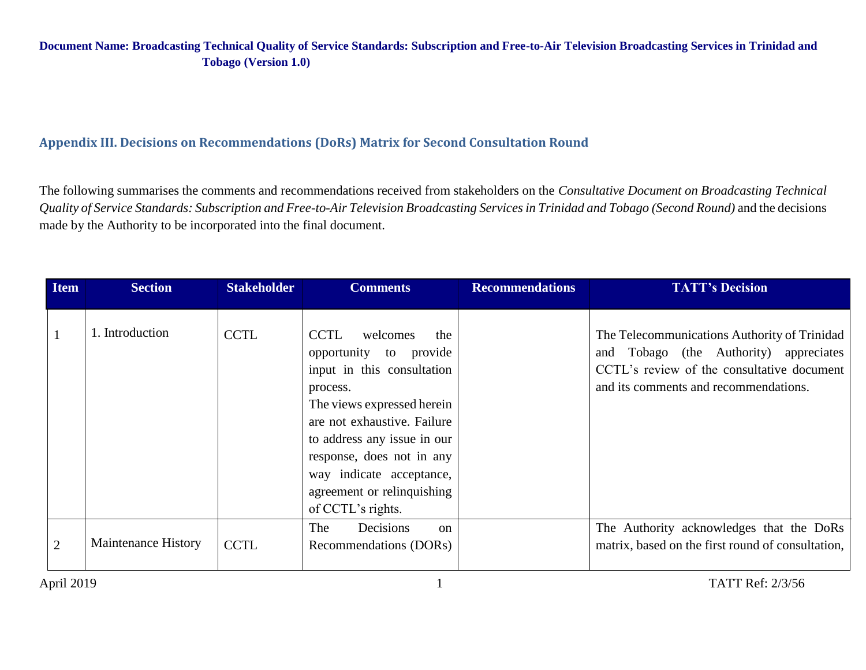## **Appendix III. Decisions on Recommendations (DoRs) Matrix for Second Consultation Round**

The following summarises the comments and recommendations received from stakeholders on the *Consultative Document on Broadcasting Technical Quality of Service Standards: Subscription and Free-to-Air Television Broadcasting Services in Trinidad and Tobago (Second Round)* and the decisions made by the Authority to be incorporated into the final document.

| <b>Item</b>    | <b>Section</b>             | <b>Stakeholder</b> | <b>Comments</b>                                                                                                                                                                                                                                                                                            | <b>Recommendations</b> | <b>TATT's Decision</b>                                                                                                                                                        |
|----------------|----------------------------|--------------------|------------------------------------------------------------------------------------------------------------------------------------------------------------------------------------------------------------------------------------------------------------------------------------------------------------|------------------------|-------------------------------------------------------------------------------------------------------------------------------------------------------------------------------|
|                | 1. Introduction            | <b>CCTL</b>        | <b>CCTL</b><br>the<br>welcomes<br>opportunity to provide<br>input in this consultation<br>process.<br>The views expressed herein<br>are not exhaustive. Failure<br>to address any issue in our<br>response, does not in any<br>way indicate acceptance,<br>agreement or relinquishing<br>of CCTL's rights. |                        | The Telecommunications Authority of Trinidad<br>and Tobago (the Authority) appreciates<br>CCTL's review of the consultative document<br>and its comments and recommendations. |
| $\overline{2}$ | <b>Maintenance History</b> | <b>CCTL</b>        | Decisions<br>The<br>$\alpha$<br>Recommendations (DORs)                                                                                                                                                                                                                                                     |                        | The Authority acknowledges that the DoRs<br>matrix, based on the first round of consultation,                                                                                 |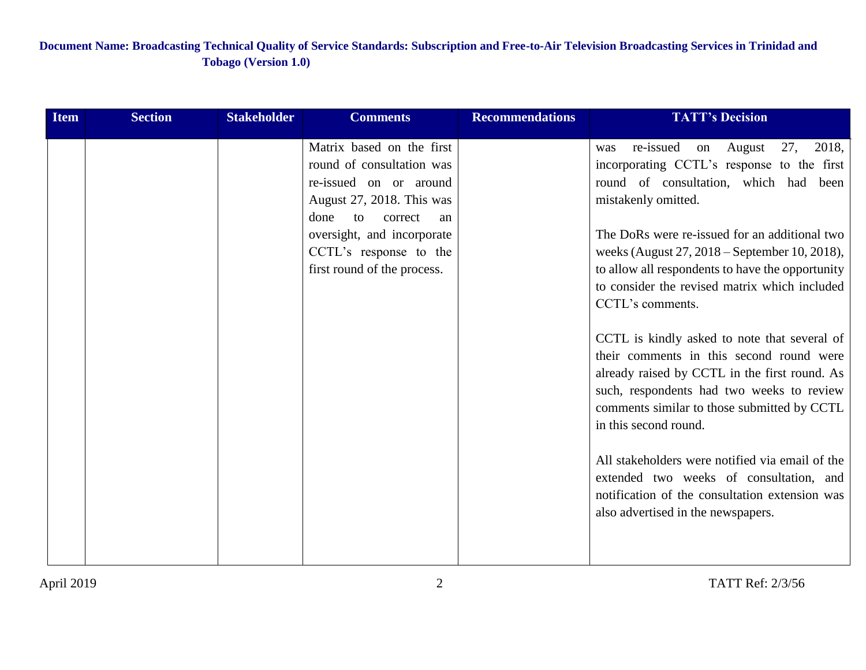| <b>Item</b> | <b>Section</b> | <b>Stakeholder</b> | <b>Comments</b>                                                                                                                                                                                                                     | <b>Recommendations</b> | <b>TATT's Decision</b>                                                                                                                                                                                                                                                                                                                                                                                                                                                                                                                                                                                                                                                                                                                                                                                |
|-------------|----------------|--------------------|-------------------------------------------------------------------------------------------------------------------------------------------------------------------------------------------------------------------------------------|------------------------|-------------------------------------------------------------------------------------------------------------------------------------------------------------------------------------------------------------------------------------------------------------------------------------------------------------------------------------------------------------------------------------------------------------------------------------------------------------------------------------------------------------------------------------------------------------------------------------------------------------------------------------------------------------------------------------------------------------------------------------------------------------------------------------------------------|
|             |                |                    | Matrix based on the first<br>round of consultation was<br>re-issued on or around<br>August 27, 2018. This was<br>done<br>correct<br>to<br>an<br>oversight, and incorporate<br>CCTL's response to the<br>first round of the process. |                        | re-issued<br>on August 27,<br>2018,<br>was<br>incorporating CCTL's response to the first<br>round of consultation, which had been<br>mistakenly omitted.<br>The DoRs were re-issued for an additional two<br>weeks (August 27, 2018 – September 10, 2018),<br>to allow all respondents to have the opportunity<br>to consider the revised matrix which included<br>CCTL's comments.<br>CCTL is kindly asked to note that several of<br>their comments in this second round were<br>already raised by CCTL in the first round. As<br>such, respondents had two weeks to review<br>comments similar to those submitted by CCTL<br>in this second round.<br>All stakeholders were notified via email of the<br>extended two weeks of consultation, and<br>notification of the consultation extension was |
|             |                |                    |                                                                                                                                                                                                                                     |                        | also advertised in the newspapers.                                                                                                                                                                                                                                                                                                                                                                                                                                                                                                                                                                                                                                                                                                                                                                    |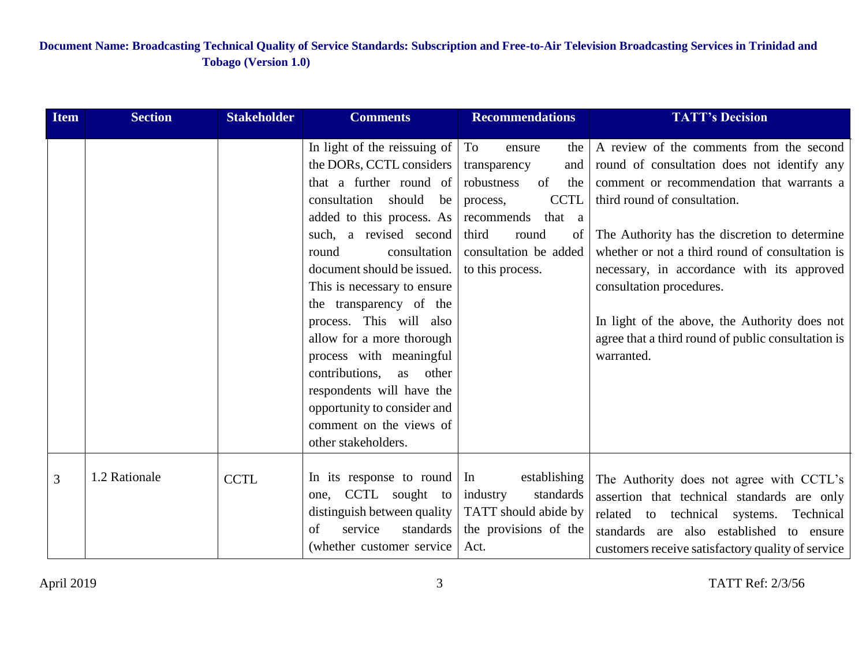| <b>Item</b> | <b>Section</b> | <b>Stakeholder</b> | <b>Comments</b>                                                                                                                                                                                                                                                                                                                                                                                                                                                                                                               | <b>Recommendations</b>                                                                                                                                                                        | <b>TATT's Decision</b>                                                                                                                                                                                                                                                                                                                                                                                                                                                  |
|-------------|----------------|--------------------|-------------------------------------------------------------------------------------------------------------------------------------------------------------------------------------------------------------------------------------------------------------------------------------------------------------------------------------------------------------------------------------------------------------------------------------------------------------------------------------------------------------------------------|-----------------------------------------------------------------------------------------------------------------------------------------------------------------------------------------------|-------------------------------------------------------------------------------------------------------------------------------------------------------------------------------------------------------------------------------------------------------------------------------------------------------------------------------------------------------------------------------------------------------------------------------------------------------------------------|
|             |                |                    | In light of the reissuing of<br>the DORs, CCTL considers<br>that a further round of<br>consultation<br>should<br>be<br>added to this process. As<br>such, a revised second<br>consultation<br>round<br>document should be issued.<br>This is necessary to ensure<br>the transparency of the<br>process. This will also<br>allow for a more thorough<br>process with meaningful<br>contributions,<br>as<br>other<br>respondents will have the<br>opportunity to consider and<br>comment on the views of<br>other stakeholders. | To<br>the<br>ensure<br>transparency<br>and<br>of<br>robustness<br>the<br><b>CCTL</b><br>process,<br>that a<br>recommends<br>third<br>round<br>of<br>consultation be added<br>to this process. | A review of the comments from the second<br>round of consultation does not identify any<br>comment or recommendation that warrants a<br>third round of consultation.<br>The Authority has the discretion to determine<br>whether or not a third round of consultation is<br>necessary, in accordance with its approved<br>consultation procedures.<br>In light of the above, the Authority does not<br>agree that a third round of public consultation is<br>warranted. |
| 3           | 1.2 Rationale  | <b>CCTL</b>        | In its response to round<br>one, CCTL sought to<br>distinguish between quality<br>service<br>of<br>standards<br>(whether customer service                                                                                                                                                                                                                                                                                                                                                                                     | establishing<br>In<br>standards<br>industry<br>TATT should abide by<br>the provisions of the<br>Act.                                                                                          | The Authority does not agree with CCTL's<br>assertion that technical standards are only<br>related<br>to technical systems.<br>Technical<br>standards are also established<br>to ensure<br>customers receive satisfactory quality of service                                                                                                                                                                                                                            |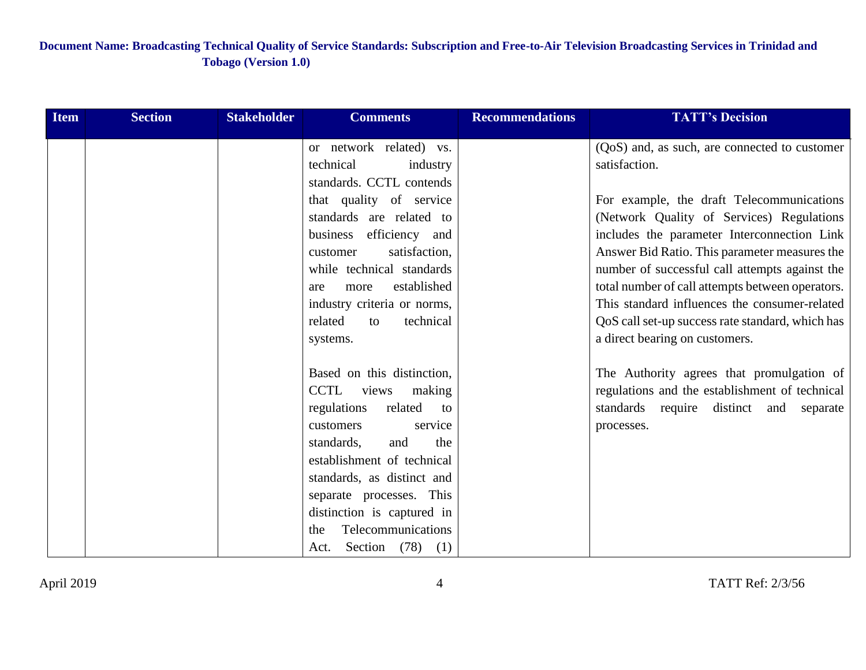| <b>Item</b> | <b>Section</b> | <b>Stakeholder</b> | <b>Comments</b>              | <b>Recommendations</b> | <b>TATT's Decision</b>                           |
|-------------|----------------|--------------------|------------------------------|------------------------|--------------------------------------------------|
|             |                |                    | or network related) vs.      |                        | (QoS) and, as such, are connected to customer    |
|             |                |                    | technical<br>industry        |                        | satisfaction.                                    |
|             |                |                    | standards. CCTL contends     |                        |                                                  |
|             |                |                    | that quality of service      |                        | For example, the draft Telecommunications        |
|             |                |                    | standards are related to     |                        | (Network Quality of Services) Regulations        |
|             |                |                    | efficiency and<br>business   |                        | includes the parameter Interconnection Link      |
|             |                |                    | satisfaction,<br>customer    |                        | Answer Bid Ratio. This parameter measures the    |
|             |                |                    | while technical standards    |                        | number of successful call attempts against the   |
|             |                |                    | established<br>more<br>are   |                        | total number of call attempts between operators. |
|             |                |                    | industry criteria or norms,  |                        | This standard influences the consumer-related    |
|             |                |                    | related<br>technical<br>to   |                        | QoS call set-up success rate standard, which has |
|             |                |                    | systems.                     |                        | a direct bearing on customers.                   |
|             |                |                    | Based on this distinction,   |                        | The Authority agrees that promulgation of        |
|             |                |                    | CCTL<br>views<br>making      |                        | regulations and the establishment of technical   |
|             |                |                    | regulations<br>related<br>to |                        | standards require distinct and separate          |
|             |                |                    | customers<br>service         |                        | processes.                                       |
|             |                |                    | standards,<br>and<br>the     |                        |                                                  |
|             |                |                    | establishment of technical   |                        |                                                  |
|             |                |                    | standards, as distinct and   |                        |                                                  |
|             |                |                    | separate processes. This     |                        |                                                  |
|             |                |                    | distinction is captured in   |                        |                                                  |
|             |                |                    | Telecommunications<br>the    |                        |                                                  |
|             |                |                    | Section $(78)$ $(1)$<br>Act. |                        |                                                  |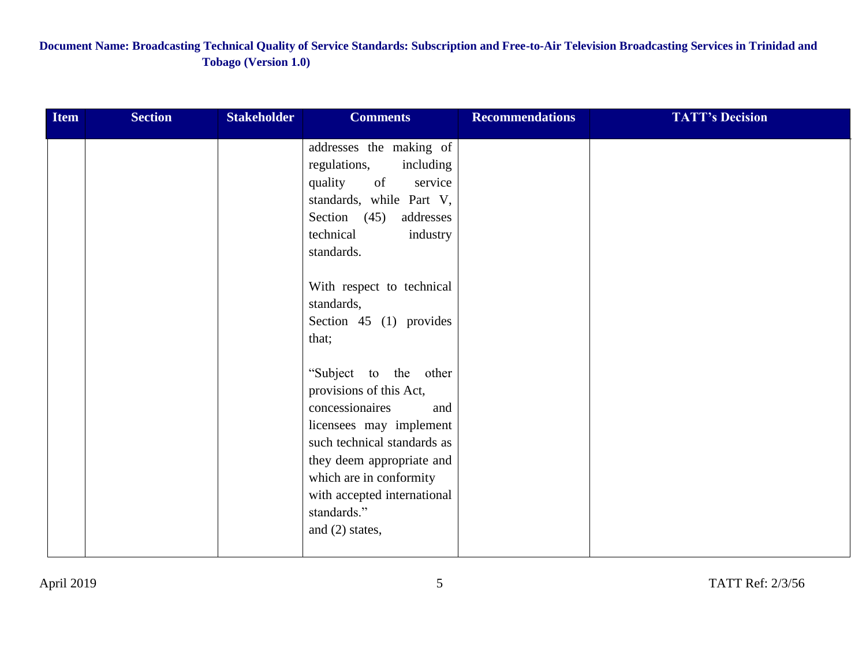| <b>Item</b> | <b>Section</b> | <b>Stakeholder</b> | <b>Comments</b>                         | <b>Recommendations</b> | <b>TATT's Decision</b> |
|-------------|----------------|--------------------|-----------------------------------------|------------------------|------------------------|
|             |                |                    | addresses the making of                 |                        |                        |
|             |                |                    | regulations,<br>including               |                        |                        |
|             |                |                    | quality of<br>service                   |                        |                        |
|             |                |                    | standards, while Part V,                |                        |                        |
|             |                |                    | Section $(45)$<br>addresses             |                        |                        |
|             |                |                    | technical<br>industry                   |                        |                        |
|             |                |                    | standards.                              |                        |                        |
|             |                |                    |                                         |                        |                        |
|             |                |                    | With respect to technical<br>standards, |                        |                        |
|             |                |                    | Section $45$ (1) provides               |                        |                        |
|             |                |                    | that;                                   |                        |                        |
|             |                |                    |                                         |                        |                        |
|             |                |                    | "Subject to the other                   |                        |                        |
|             |                |                    | provisions of this Act,                 |                        |                        |
|             |                |                    | concessionaires<br>and                  |                        |                        |
|             |                |                    | licensees may implement                 |                        |                        |
|             |                |                    | such technical standards as             |                        |                        |
|             |                |                    | they deem appropriate and               |                        |                        |
|             |                |                    | which are in conformity                 |                        |                        |
|             |                |                    | with accepted international             |                        |                        |
|             |                |                    | standards."                             |                        |                        |
|             |                |                    | and $(2)$ states,                       |                        |                        |
|             |                |                    |                                         |                        |                        |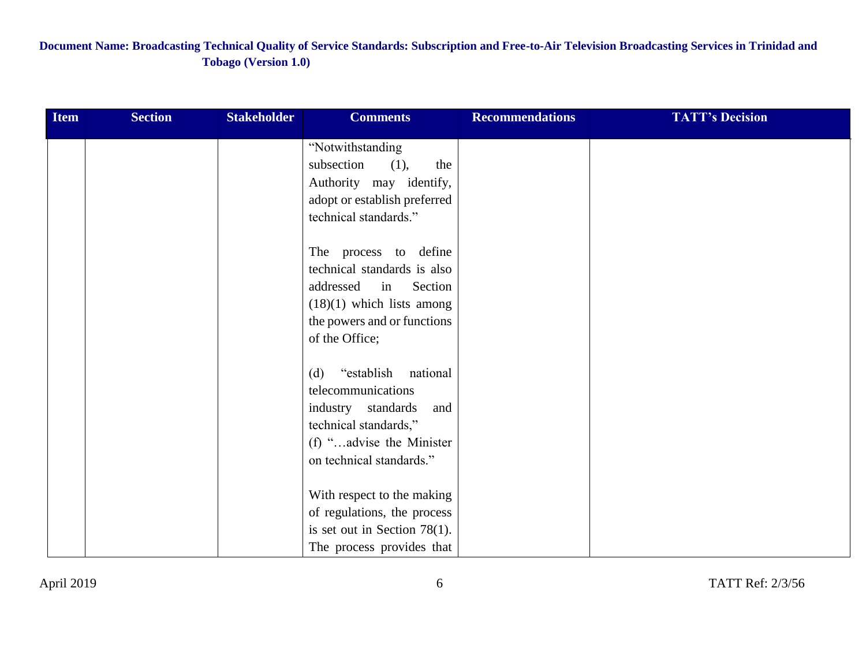| <b>Item</b> | <b>Section</b> | <b>Stakeholder</b> | <b>Comments</b>                                                                                                                                                                        | <b>Recommendations</b> | <b>TATT's Decision</b> |
|-------------|----------------|--------------------|----------------------------------------------------------------------------------------------------------------------------------------------------------------------------------------|------------------------|------------------------|
|             |                |                    | "Notwithstanding<br>subsection<br>(1),<br>the<br>Authority may identify,<br>adopt or establish preferred<br>technical standards."                                                      |                        |                        |
|             |                |                    | The process to define<br>technical standards is also<br>addressed<br>$\overline{\text{in}}$<br>Section<br>$(18)(1)$ which lists among<br>the powers and or functions<br>of the Office; |                        |                        |
|             |                |                    | "establish national<br>(d)<br>telecommunications<br>industry standards<br>and<br>technical standards,"<br>(f) "advise the Minister<br>on technical standards."                         |                        |                        |
|             |                |                    | With respect to the making<br>of regulations, the process<br>is set out in Section 78(1).<br>The process provides that                                                                 |                        |                        |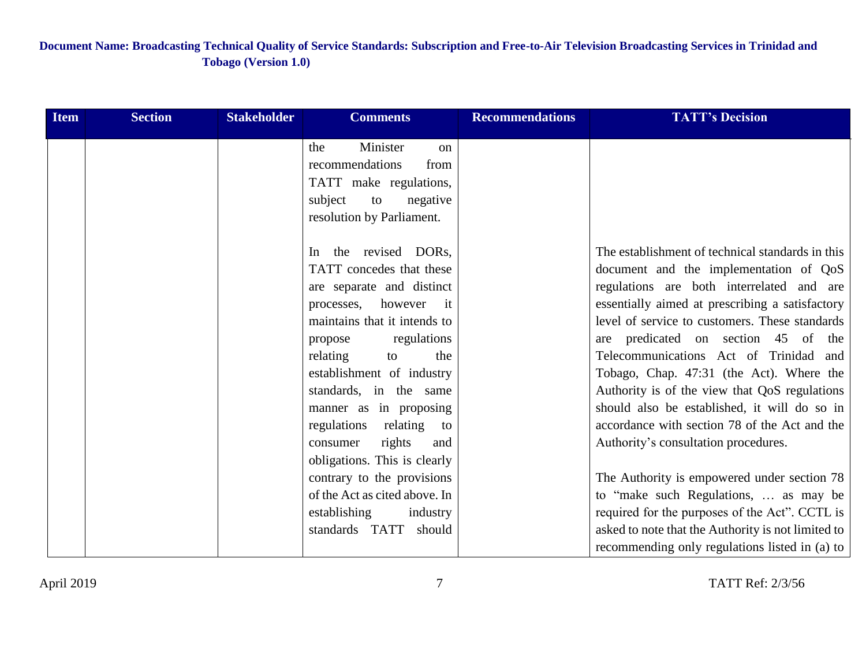| <b>Item</b> | <b>Section</b> | <b>Stakeholder</b> | <b>Comments</b>                                                                                                                                                                                                                                                                                                                               | <b>Recommendations</b> | <b>TATT's Decision</b>                                                                                                                                                                                                                                                                                                                                                                                                                                                                                          |
|-------------|----------------|--------------------|-----------------------------------------------------------------------------------------------------------------------------------------------------------------------------------------------------------------------------------------------------------------------------------------------------------------------------------------------|------------------------|-----------------------------------------------------------------------------------------------------------------------------------------------------------------------------------------------------------------------------------------------------------------------------------------------------------------------------------------------------------------------------------------------------------------------------------------------------------------------------------------------------------------|
|             |                |                    | Minister<br>the<br><sub>on</sub><br>recommendations<br>from<br>TATT make regulations,<br>subject<br>negative<br>to<br>resolution by Parliament.                                                                                                                                                                                               |                        |                                                                                                                                                                                                                                                                                                                                                                                                                                                                                                                 |
|             |                |                    | the revised DORs,<br>In.                                                                                                                                                                                                                                                                                                                      |                        | The establishment of technical standards in this                                                                                                                                                                                                                                                                                                                                                                                                                                                                |
|             |                |                    | TATT concedes that these<br>are separate and distinct<br>processes, however it<br>maintains that it intends to<br>regulations<br>propose<br>relating<br>to<br>the<br>establishment of industry<br>standards, in the same<br>manner as in proposing<br>regulations relating<br>to<br>rights<br>consumer<br>and<br>obligations. This is clearly |                        | document and the implementation of QoS<br>regulations are both interrelated and are<br>essentially aimed at prescribing a satisfactory<br>level of service to customers. These standards<br>are predicated on section 45 of the<br>Telecommunications Act of Trinidad and<br>Tobago, Chap. 47:31 (the Act). Where the<br>Authority is of the view that QoS regulations<br>should also be established, it will do so in<br>accordance with section 78 of the Act and the<br>Authority's consultation procedures. |
|             |                |                    | contrary to the provisions                                                                                                                                                                                                                                                                                                                    |                        | The Authority is empowered under section 78                                                                                                                                                                                                                                                                                                                                                                                                                                                                     |
|             |                |                    | of the Act as cited above. In<br>establishing<br>industry<br>standards TATT should                                                                                                                                                                                                                                                            |                        | to "make such Regulations,  as may be<br>required for the purposes of the Act". CCTL is<br>asked to note that the Authority is not limited to<br>recommending only regulations listed in (a) to                                                                                                                                                                                                                                                                                                                 |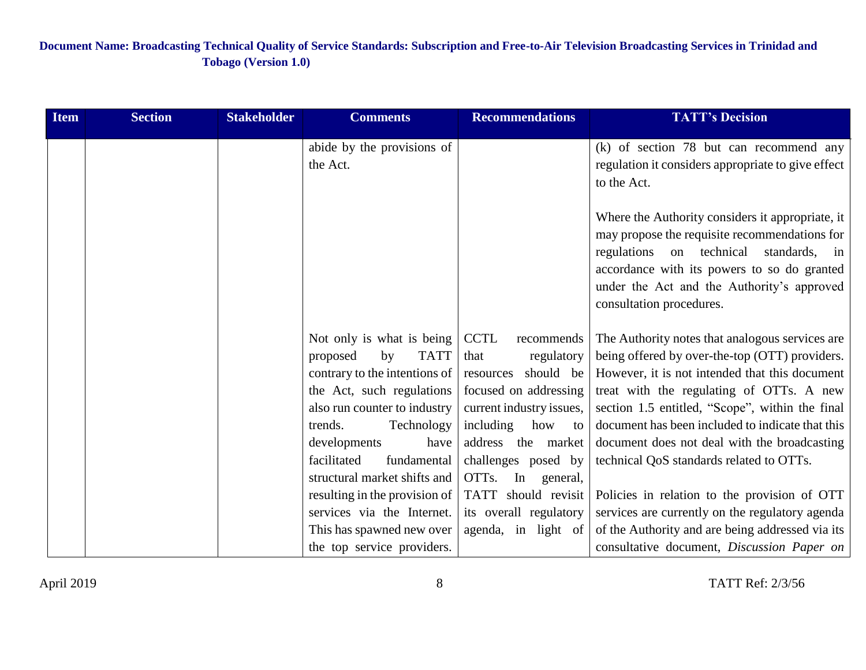| <b>Item</b> | <b>Section</b> | <b>Stakeholder</b> | <b>Comments</b>                                           | <b>Recommendations</b>                            | <b>TATT's Decision</b>                                                                                                                                                                                                                                               |
|-------------|----------------|--------------------|-----------------------------------------------------------|---------------------------------------------------|----------------------------------------------------------------------------------------------------------------------------------------------------------------------------------------------------------------------------------------------------------------------|
|             |                |                    | abide by the provisions of<br>the Act.                    |                                                   | (k) of section 78 but can recommend any<br>regulation it considers appropriate to give effect<br>to the Act.                                                                                                                                                         |
|             |                |                    |                                                           |                                                   | Where the Authority considers it appropriate, it<br>may propose the requisite recommendations for<br>regulations on technical standards, in<br>accordance with its powers to so do granted<br>under the Act and the Authority's approved<br>consultation procedures. |
|             |                |                    | Not only is what is being                                 | <b>CCTL</b><br>recommends                         | The Authority notes that analogous services are                                                                                                                                                                                                                      |
|             |                |                    | <b>TATT</b><br>proposed<br>by                             | that<br>regulatory                                | being offered by over-the-top (OTT) providers.                                                                                                                                                                                                                       |
|             |                |                    | contrary to the intentions of                             | should be<br>resources                            | However, it is not intended that this document                                                                                                                                                                                                                       |
|             |                |                    | the Act, such regulations<br>also run counter to industry | focused on addressing<br>current industry issues, | treat with the regulating of OTTs. A new<br>section 1.5 entitled, "Scope", within the final                                                                                                                                                                          |
|             |                |                    | Technology<br>trends.                                     | including<br>how to                               | document has been included to indicate that this                                                                                                                                                                                                                     |
|             |                |                    | developments<br>have                                      | address the market                                | document does not deal with the broadcasting                                                                                                                                                                                                                         |
|             |                |                    | facilitated<br>fundamental                                | challenges posed by                               | technical QoS standards related to OTTs.                                                                                                                                                                                                                             |
|             |                |                    | structural market shifts and                              | OTTs. In<br>general,                              |                                                                                                                                                                                                                                                                      |
|             |                |                    | resulting in the provision of                             | TATT should revisit                               | Policies in relation to the provision of OTT                                                                                                                                                                                                                         |
|             |                |                    | services via the Internet.                                | its overall regulatory                            | services are currently on the regulatory agenda                                                                                                                                                                                                                      |
|             |                |                    | This has spawned new over                                 | agenda, in light of                               | of the Authority and are being addressed via its                                                                                                                                                                                                                     |
|             |                |                    | the top service providers.                                |                                                   | consultative document, Discussion Paper on                                                                                                                                                                                                                           |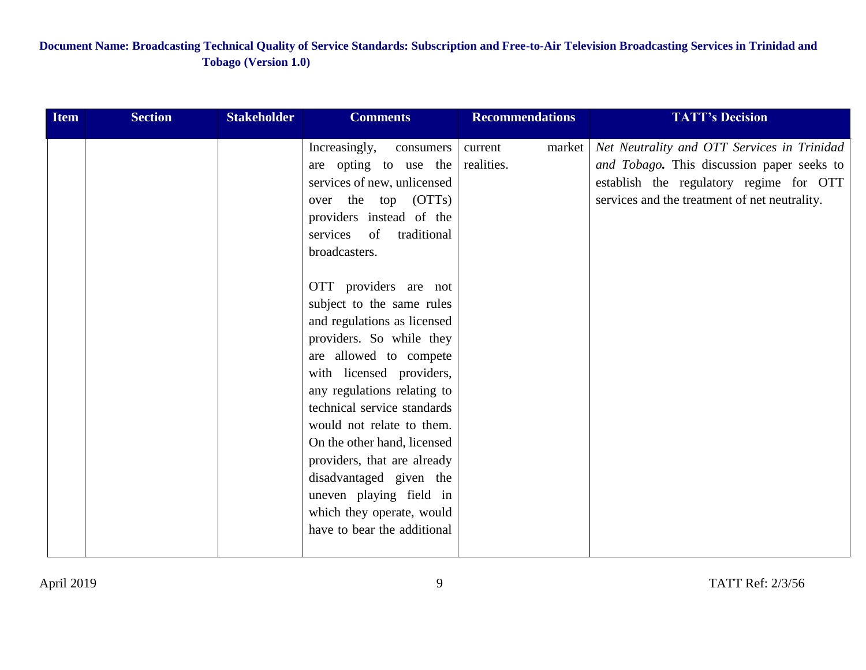| <b>Item</b> | <b>Section</b> | <b>Stakeholder</b> | <b>Comments</b>                                                                                                                                                                                                                                                                                                                                                                                                                                                                                                                                                                                                                        | <b>Recommendations</b>          | <b>TATT's Decision</b>                                                                                                                                                                |
|-------------|----------------|--------------------|----------------------------------------------------------------------------------------------------------------------------------------------------------------------------------------------------------------------------------------------------------------------------------------------------------------------------------------------------------------------------------------------------------------------------------------------------------------------------------------------------------------------------------------------------------------------------------------------------------------------------------------|---------------------------------|---------------------------------------------------------------------------------------------------------------------------------------------------------------------------------------|
|             |                |                    | Increasingly,<br>consumers<br>are opting to use the<br>services of new, unlicensed<br>over the top (OTTs)<br>providers instead of the<br>traditional<br>services of<br>broadcasters.<br>OTT providers are not<br>subject to the same rules<br>and regulations as licensed<br>providers. So while they<br>are allowed to compete<br>with licensed providers,<br>any regulations relating to<br>technical service standards<br>would not relate to them.<br>On the other hand, licensed<br>providers, that are already<br>disadvantaged given the<br>uneven playing field in<br>which they operate, would<br>have to bear the additional | market<br>current<br>realities. | Net Neutrality and OTT Services in Trinidad<br>and Tobago. This discussion paper seeks to<br>establish the regulatory regime for OTT<br>services and the treatment of net neutrality. |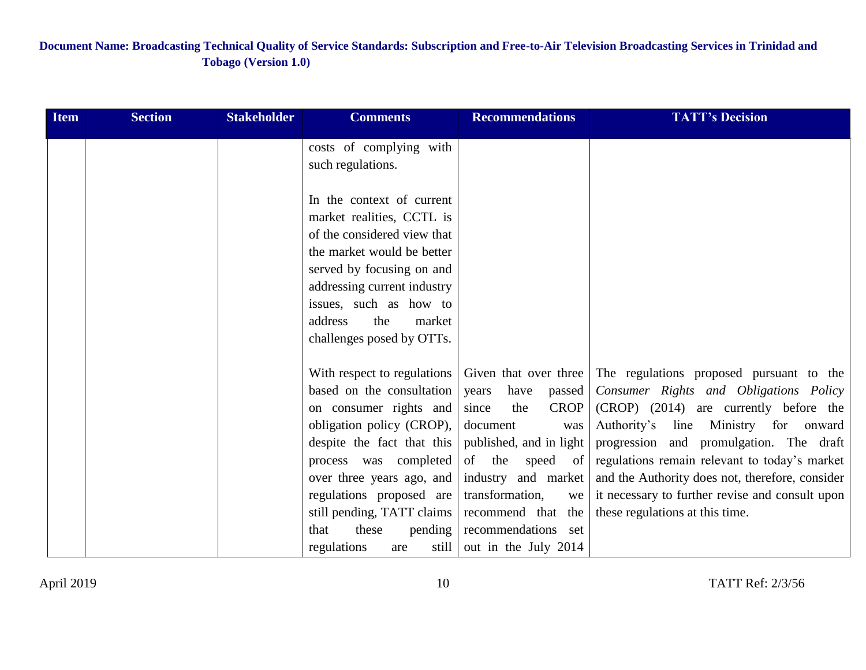| <b>Item</b> | <b>Section</b> | <b>Stakeholder</b> | <b>Comments</b>                                                                                                                                                                                                                                                                                                          | <b>Recommendations</b>                                                                                                                                                                                                                             | <b>TATT's Decision</b>                                                                                                                                                                                                                                                                                                                                                                                                          |
|-------------|----------------|--------------------|--------------------------------------------------------------------------------------------------------------------------------------------------------------------------------------------------------------------------------------------------------------------------------------------------------------------------|----------------------------------------------------------------------------------------------------------------------------------------------------------------------------------------------------------------------------------------------------|---------------------------------------------------------------------------------------------------------------------------------------------------------------------------------------------------------------------------------------------------------------------------------------------------------------------------------------------------------------------------------------------------------------------------------|
|             |                |                    | costs of complying with<br>such regulations.                                                                                                                                                                                                                                                                             |                                                                                                                                                                                                                                                    |                                                                                                                                                                                                                                                                                                                                                                                                                                 |
|             |                |                    | In the context of current<br>market realities, CCTL is<br>of the considered view that<br>the market would be better<br>served by focusing on and<br>addressing current industry<br>issues, such as how to<br>address<br>the<br>market<br>challenges posed by OTTs.                                                       |                                                                                                                                                                                                                                                    |                                                                                                                                                                                                                                                                                                                                                                                                                                 |
|             |                |                    | With respect to regulations<br>based on the consultation<br>on consumer rights and<br>obligation policy (CROP),<br>despite the fact that this<br>process was completed<br>over three years ago, and<br>regulations proposed are<br>still pending, TATT claims<br>these<br>pending<br>that<br>regulations<br>still<br>are | have<br>years<br>passed<br>the<br><b>CROP</b><br>since<br>document<br>was<br>published, and in light<br>of the<br>speed of<br>industry and market<br>transformation,<br>we<br>recommend that<br>the<br>recommendations set<br>out in the July 2014 | Given that over three The regulations proposed pursuant to the<br>Consumer Rights and Obligations Policy<br>(CROP) (2014) are currently before the<br>Authority's line Ministry for onward<br>progression and promulgation. The draft<br>regulations remain relevant to today's market<br>and the Authority does not, therefore, consider<br>it necessary to further revise and consult upon<br>these regulations at this time. |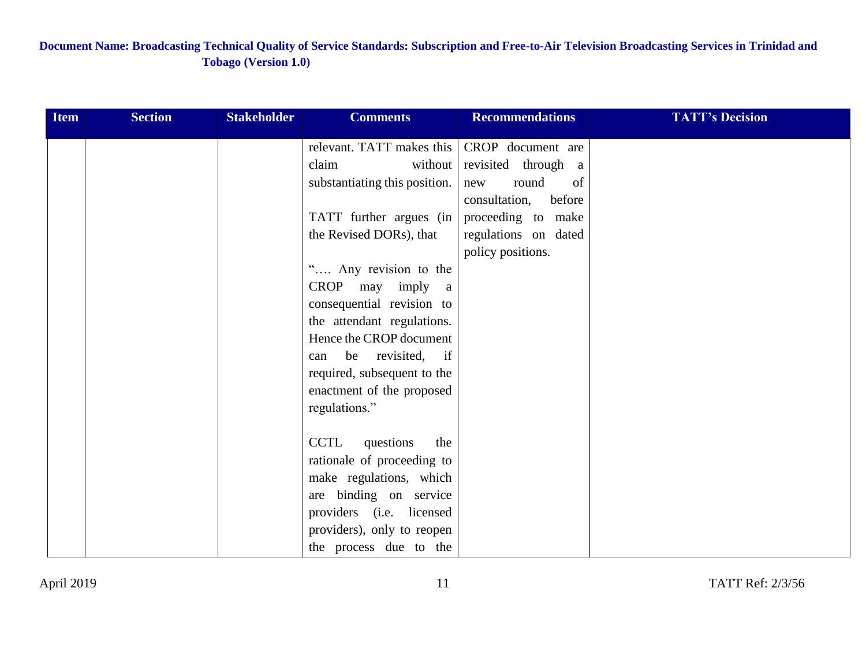| <b>Item</b> | <b>Section</b> | <b>Stakeholder</b> | <b>Comments</b>                 | <b>Recommendations</b>  | <b>TATT's Decision</b> |
|-------------|----------------|--------------------|---------------------------------|-------------------------|------------------------|
|             |                |                    | relevant. TATT makes this       | CROP document are       |                        |
|             |                |                    | claim<br>without                | revisited through a     |                        |
|             |                |                    | substantiating this position.   | round<br>of<br>new      |                        |
|             |                |                    |                                 | before<br>consultation, |                        |
|             |                |                    | TATT further argues (in         | proceeding to make      |                        |
|             |                |                    | the Revised DORs), that         | regulations on dated    |                        |
|             |                |                    |                                 | policy positions.       |                        |
|             |                |                    | " Any revision to the           |                         |                        |
|             |                |                    | CROP may imply<br><sub>a</sub>  |                         |                        |
|             |                |                    | consequential revision to       |                         |                        |
|             |                |                    | the attendant regulations.      |                         |                        |
|             |                |                    | Hence the CROP document         |                         |                        |
|             |                |                    | be revisited, if<br>can         |                         |                        |
|             |                |                    | required, subsequent to the     |                         |                        |
|             |                |                    | enactment of the proposed       |                         |                        |
|             |                |                    | regulations."                   |                         |                        |
|             |                |                    |                                 |                         |                        |
|             |                |                    | <b>CCTL</b><br>questions<br>the |                         |                        |
|             |                |                    | rationale of proceeding to      |                         |                        |
|             |                |                    | make regulations, which         |                         |                        |
|             |                |                    | are binding on service          |                         |                        |
|             |                |                    | providers (i.e. licensed        |                         |                        |
|             |                |                    | providers), only to reopen      |                         |                        |
|             |                |                    | the process due to the          |                         |                        |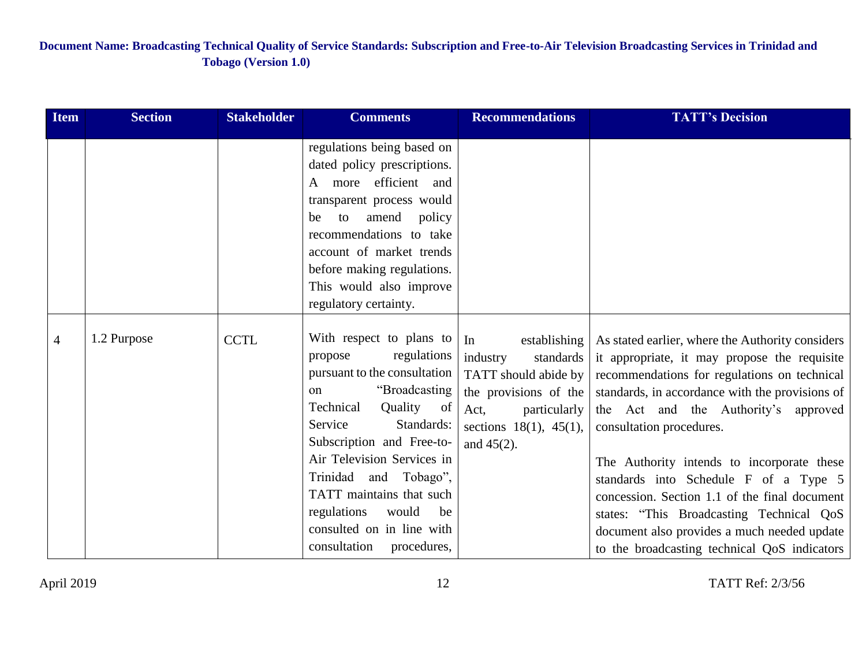| <b>Item</b>    | <b>Section</b> | <b>Stakeholder</b> | <b>Comments</b>                                                                                                                                                                                                                                                                                                                                                                    | <b>Recommendations</b>                                                                                                                                                | <b>TATT's Decision</b>                                                                                                                                                                                                                                                                                                                                                                                                                                                                                                                                     |
|----------------|----------------|--------------------|------------------------------------------------------------------------------------------------------------------------------------------------------------------------------------------------------------------------------------------------------------------------------------------------------------------------------------------------------------------------------------|-----------------------------------------------------------------------------------------------------------------------------------------------------------------------|------------------------------------------------------------------------------------------------------------------------------------------------------------------------------------------------------------------------------------------------------------------------------------------------------------------------------------------------------------------------------------------------------------------------------------------------------------------------------------------------------------------------------------------------------------|
|                |                |                    | regulations being based on<br>dated policy prescriptions.<br>more efficient and<br>$\mathsf{A}$<br>transparent process would<br>amend<br>to<br>policy<br>be<br>recommendations to take<br>account of market trends<br>before making regulations.<br>This would also improve<br>regulatory certainty.                                                                               |                                                                                                                                                                       |                                                                                                                                                                                                                                                                                                                                                                                                                                                                                                                                                            |
| $\overline{4}$ | 1.2 Purpose    | <b>CCTL</b>        | With respect to plans to<br>regulations<br>propose<br>pursuant to the consultation<br>"Broadcasting<br><sub>on</sub><br>Technical<br>Quality of<br>Standards:<br>Service<br>Subscription and Free-to-<br>Air Television Services in<br>Trinidad and Tobago",<br>TATT maintains that such<br>regulations<br>would<br>be<br>consulted on in line with<br>consultation<br>procedures, | In<br>establishing<br>standards<br>industry<br>TATT should abide by<br>the provisions of the<br>Act,<br>particularly<br>sections $18(1)$ , $45(1)$ ,<br>and $45(2)$ . | As stated earlier, where the Authority considers<br>it appropriate, it may propose the requisite<br>recommendations for regulations on technical<br>standards, in accordance with the provisions of<br>the Act and the Authority's approved<br>consultation procedures.<br>The Authority intends to incorporate these<br>standards into Schedule F of a Type 5<br>concession. Section 1.1 of the final document<br>states: "This Broadcasting Technical QoS<br>document also provides a much needed update<br>to the broadcasting technical QoS indicators |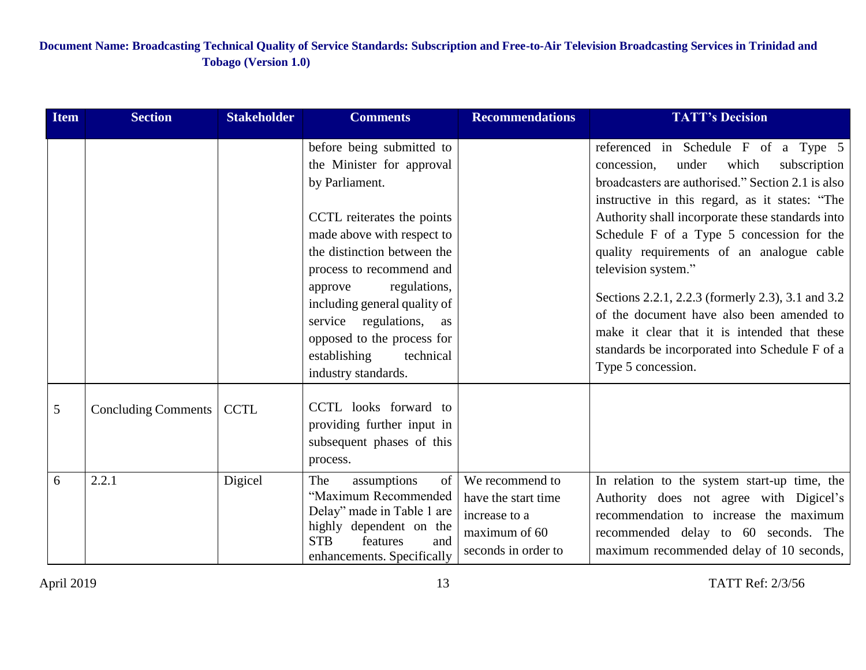| <b>Item</b> | <b>Section</b>      | <b>Stakeholder</b> | <b>Comments</b>                                                                                                                                                                                                                                                                                                                                                            | <b>Recommendations</b>                                                                          | <b>TATT's Decision</b>                                                                                                                                                                                                                                                                                                                                                                                                                                                                                                                                                                      |
|-------------|---------------------|--------------------|----------------------------------------------------------------------------------------------------------------------------------------------------------------------------------------------------------------------------------------------------------------------------------------------------------------------------------------------------------------------------|-------------------------------------------------------------------------------------------------|---------------------------------------------------------------------------------------------------------------------------------------------------------------------------------------------------------------------------------------------------------------------------------------------------------------------------------------------------------------------------------------------------------------------------------------------------------------------------------------------------------------------------------------------------------------------------------------------|
|             |                     |                    | before being submitted to<br>the Minister for approval<br>by Parliament.<br>CCTL reiterates the points<br>made above with respect to<br>the distinction between the<br>process to recommend and<br>regulations,<br>approve<br>including general quality of<br>service regulations,<br>as<br>opposed to the process for<br>establishing<br>technical<br>industry standards. |                                                                                                 | referenced in Schedule F of a Type 5<br>subscription<br>concession,<br>under<br>which<br>broadcasters are authorised." Section 2.1 is also<br>instructive in this regard, as it states: "The<br>Authority shall incorporate these standards into<br>Schedule F of a Type 5 concession for the<br>quality requirements of an analogue cable<br>television system."<br>Sections 2.2.1, 2.2.3 (formerly 2.3), 3.1 and 3.2<br>of the document have also been amended to<br>make it clear that it is intended that these<br>standards be incorporated into Schedule F of a<br>Type 5 concession. |
| 5           | Concluding Comments | <b>CCTL</b>        | CCTL looks forward to<br>providing further input in<br>subsequent phases of this<br>process.                                                                                                                                                                                                                                                                               |                                                                                                 |                                                                                                                                                                                                                                                                                                                                                                                                                                                                                                                                                                                             |
| 6           | 2.2.1               | Digicel            | assumptions<br>of<br>The<br>"Maximum Recommended<br>Delay" made in Table 1 are<br>highly dependent on the<br><b>STB</b><br>features<br>and<br>enhancements. Specifically                                                                                                                                                                                                   | We recommend to<br>have the start time<br>increase to a<br>maximum of 60<br>seconds in order to | In relation to the system start-up time, the<br>Authority does not agree with Digicel's<br>recommendation to increase the maximum<br>recommended delay to 60 seconds. The<br>maximum recommended delay of 10 seconds,                                                                                                                                                                                                                                                                                                                                                                       |

April 2019 TATT Ref: 2/3/56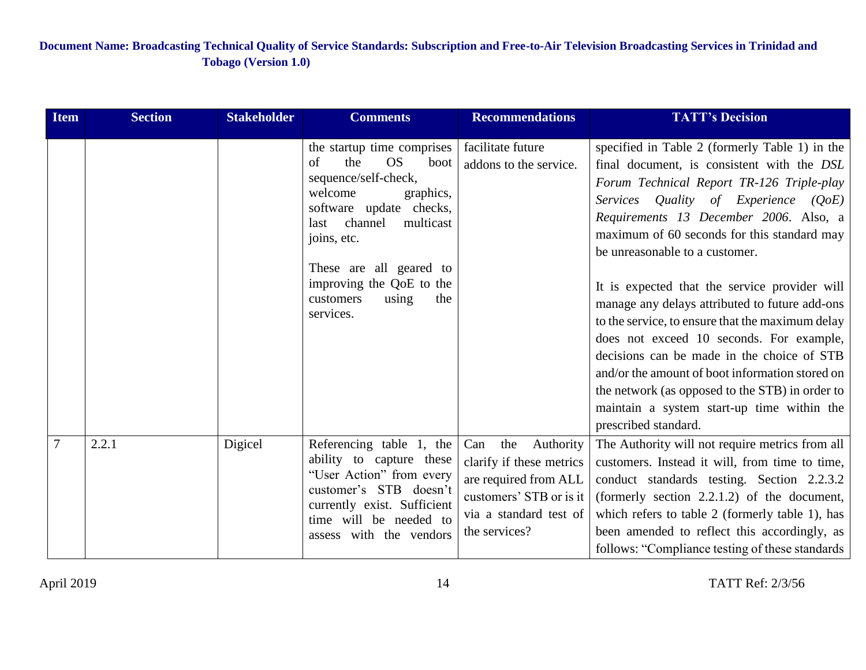| <b>Item</b>    | <b>Section</b> | <b>Stakeholder</b> | <b>Comments</b>                                                                                                                                                                                                                                                                         | <b>Recommendations</b>                                                                                                                             | <b>TATT's Decision</b>                                                                                                                                                                                                                                                                                                                                                                                                                                                                                                                                                                                                                                                                                                                      |
|----------------|----------------|--------------------|-----------------------------------------------------------------------------------------------------------------------------------------------------------------------------------------------------------------------------------------------------------------------------------------|----------------------------------------------------------------------------------------------------------------------------------------------------|---------------------------------------------------------------------------------------------------------------------------------------------------------------------------------------------------------------------------------------------------------------------------------------------------------------------------------------------------------------------------------------------------------------------------------------------------------------------------------------------------------------------------------------------------------------------------------------------------------------------------------------------------------------------------------------------------------------------------------------------|
|                |                |                    | the startup time comprises<br><b>OS</b><br>the<br>of<br>boot<br>sequence/self-check,<br>welcome<br>graphics,<br>software update checks,<br>channel<br>multicast<br>last<br>joins, etc.<br>These are all geared to<br>improving the QoE to the<br>customers<br>using<br>the<br>services. | facilitate future<br>addons to the service.                                                                                                        | specified in Table 2 (formerly Table 1) in the<br>final document, is consistent with the DSL<br>Forum Technical Report TR-126 Triple-play<br>Services Quality of Experience $(QoE)$<br>Requirements 13 December 2006. Also, a<br>maximum of 60 seconds for this standard may<br>be unreasonable to a customer.<br>It is expected that the service provider will<br>manage any delays attributed to future add-ons<br>to the service, to ensure that the maximum delay<br>does not exceed 10 seconds. For example,<br>decisions can be made in the choice of STB<br>and/or the amount of boot information stored on<br>the network (as opposed to the STB) in order to<br>maintain a system start-up time within the<br>prescribed standard. |
| $\overline{7}$ | 2.2.1          | Digicel            | Referencing table 1, the<br>ability to capture these<br>"User Action" from every<br>customer's STB doesn't<br>currently exist. Sufficient<br>time will be needed to<br>assess with the vendors                                                                                          | Can<br>the<br>Authority<br>clarify if these metrics<br>are required from ALL<br>customers' STB or is it<br>via a standard test of<br>the services? | The Authority will not require metrics from all<br>customers. Instead it will, from time to time,<br>conduct standards testing. Section 2.2.3.2<br>(formerly section $2.2.1.2$ ) of the document,<br>which refers to table $2$ (formerly table 1), has<br>been amended to reflect this accordingly, as<br>follows: "Compliance testing of these standards                                                                                                                                                                                                                                                                                                                                                                                   |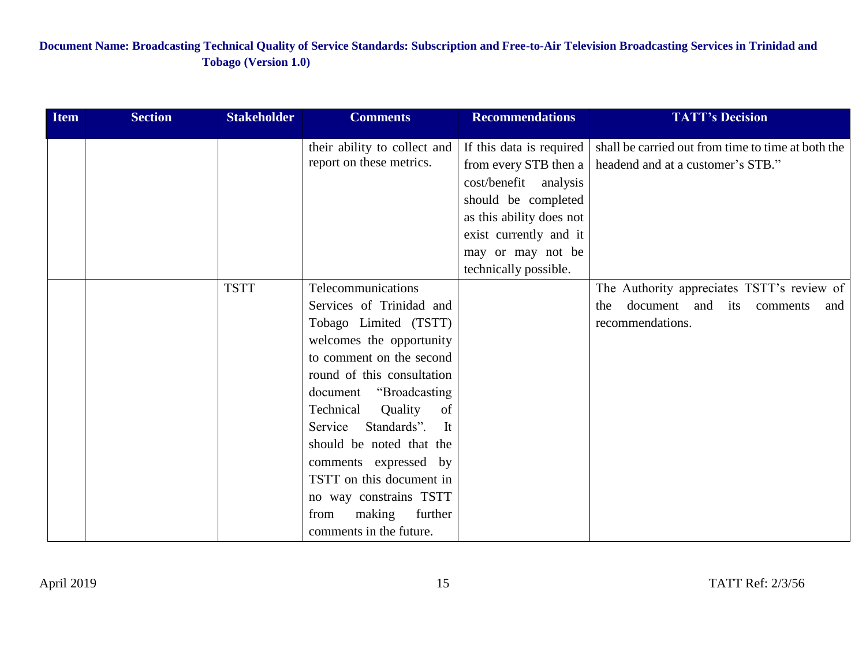| <b>Item</b> | <b>Section</b> | <b>Stakeholder</b> | <b>Comments</b>              | <b>Recommendations</b>   | <b>TATT's Decision</b>                             |
|-------------|----------------|--------------------|------------------------------|--------------------------|----------------------------------------------------|
|             |                |                    | their ability to collect and | If this data is required | shall be carried out from time to time at both the |
|             |                |                    | report on these metrics.     | from every STB then a    | headend and at a customer's STB."                  |
|             |                |                    |                              | cost/benefit analysis    |                                                    |
|             |                |                    |                              | should be completed      |                                                    |
|             |                |                    |                              | as this ability does not |                                                    |
|             |                |                    |                              | exist currently and it   |                                                    |
|             |                |                    |                              | may or may not be        |                                                    |
|             |                |                    |                              | technically possible.    |                                                    |
|             |                | <b>TSTT</b>        | Telecommunications           |                          | The Authority appreciates TSTT's review of         |
|             |                |                    | Services of Trinidad and     |                          | document and its comments<br>the<br>and            |
|             |                |                    | Tobago Limited (TSTT)        |                          | recommendations.                                   |
|             |                |                    | welcomes the opportunity     |                          |                                                    |
|             |                |                    | to comment on the second     |                          |                                                    |
|             |                |                    | round of this consultation   |                          |                                                    |
|             |                |                    | document "Broadcasting       |                          |                                                    |
|             |                |                    | Technical<br>Quality<br>of   |                          |                                                    |
|             |                |                    | Standards".<br>Service<br>It |                          |                                                    |
|             |                |                    | should be noted that the     |                          |                                                    |
|             |                |                    | comments expressed by        |                          |                                                    |
|             |                |                    | TSTT on this document in     |                          |                                                    |
|             |                |                    | no way constrains TSTT       |                          |                                                    |
|             |                |                    | further<br>making<br>from    |                          |                                                    |
|             |                |                    | comments in the future.      |                          |                                                    |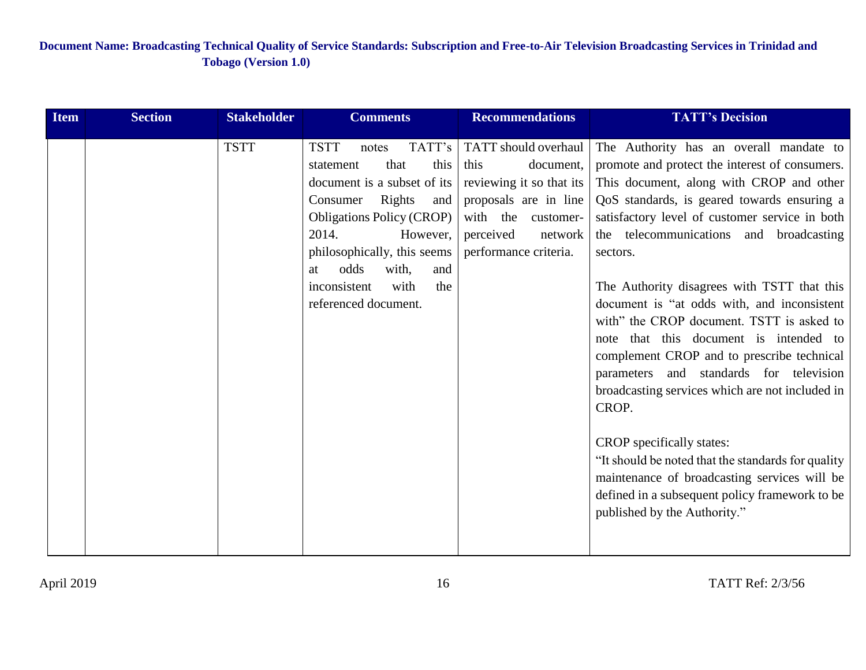| <b>Item</b> | <b>Section</b> | <b>Stakeholder</b> | <b>Comments</b>                                                                                                                                                                                                                                                                                      | <b>Recommendations</b>                                                                                                                                                | <b>TATT's Decision</b>                                                                                                                                                                                                                                                                                                                                                                                                                                                                                                                                                                                                                                                                                                                                                                                                                                        |
|-------------|----------------|--------------------|------------------------------------------------------------------------------------------------------------------------------------------------------------------------------------------------------------------------------------------------------------------------------------------------------|-----------------------------------------------------------------------------------------------------------------------------------------------------------------------|---------------------------------------------------------------------------------------------------------------------------------------------------------------------------------------------------------------------------------------------------------------------------------------------------------------------------------------------------------------------------------------------------------------------------------------------------------------------------------------------------------------------------------------------------------------------------------------------------------------------------------------------------------------------------------------------------------------------------------------------------------------------------------------------------------------------------------------------------------------|
|             |                | <b>TSTT</b>        | <b>TSTT</b><br>TATT's<br>notes<br>this<br>that<br>statement<br>document is a subset of its<br>Rights<br>Consumer<br>and<br><b>Obligations Policy (CROP)</b><br>2014.<br>However,<br>philosophically, this seems<br>odds<br>and<br>with,<br>at<br>inconsistent<br>the<br>with<br>referenced document. | TATT should overhaul<br>this<br>document,<br>reviewing it so that its<br>proposals are in line<br>with the customer-<br>perceived<br>network<br>performance criteria. | The Authority has an overall mandate to<br>promote and protect the interest of consumers.<br>This document, along with CROP and other<br>QoS standards, is geared towards ensuring a<br>satisfactory level of customer service in both<br>the telecommunications and broadcasting<br>sectors.<br>The Authority disagrees with TSTT that this<br>document is "at odds with, and inconsistent<br>with" the CROP document. TSTT is asked to<br>note that this document is intended to<br>complement CROP and to prescribe technical<br>parameters and standards for television<br>broadcasting services which are not included in<br>CROP.<br>CROP specifically states:<br>"It should be noted that the standards for quality"<br>maintenance of broadcasting services will be<br>defined in a subsequent policy framework to be<br>published by the Authority." |
|             |                |                    |                                                                                                                                                                                                                                                                                                      |                                                                                                                                                                       |                                                                                                                                                                                                                                                                                                                                                                                                                                                                                                                                                                                                                                                                                                                                                                                                                                                               |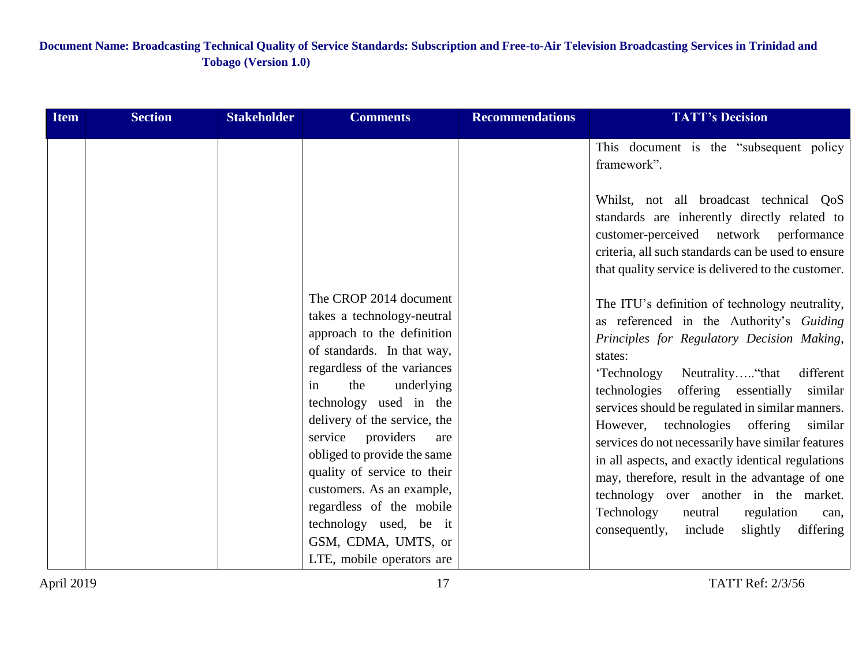| <b>Item</b> | <b>Section</b> | <b>Stakeholder</b> | <b>Comments</b>                                                                                                                                                                                                                                                                                                                                                                                                                                                       | <b>Recommendations</b> | <b>TATT's Decision</b>                                                                                                                                                                                                                                                                                                                                                                                                                                                                                                                                                                                                                                                                                                                                                                                                                                                                                                                                                        |
|-------------|----------------|--------------------|-----------------------------------------------------------------------------------------------------------------------------------------------------------------------------------------------------------------------------------------------------------------------------------------------------------------------------------------------------------------------------------------------------------------------------------------------------------------------|------------------------|-------------------------------------------------------------------------------------------------------------------------------------------------------------------------------------------------------------------------------------------------------------------------------------------------------------------------------------------------------------------------------------------------------------------------------------------------------------------------------------------------------------------------------------------------------------------------------------------------------------------------------------------------------------------------------------------------------------------------------------------------------------------------------------------------------------------------------------------------------------------------------------------------------------------------------------------------------------------------------|
|             |                |                    | The CROP 2014 document<br>takes a technology-neutral<br>approach to the definition<br>of standards. In that way,<br>regardless of the variances<br>the<br>underlying<br>in<br>technology used in the<br>delivery of the service, the<br>service providers<br>are<br>obliged to provide the same<br>quality of service to their<br>customers. As an example,<br>regardless of the mobile<br>technology used, be it<br>GSM, CDMA, UMTS, or<br>LTE, mobile operators are |                        | This document is the "subsequent policy"<br>framework".<br>Whilst, not all broadcast technical QoS<br>standards are inherently directly related to<br>customer-perceived network performance<br>criteria, all such standards can be used to ensure<br>that quality service is delivered to the customer.<br>The ITU's definition of technology neutrality,<br>as referenced in the Authority's Guiding<br>Principles for Regulatory Decision Making,<br>states:<br>'Technology<br>Neutrality "that<br>different<br>technologies<br>offering essentially similar<br>services should be regulated in similar manners.<br>technologies offering<br>However,<br>similar<br>services do not necessarily have similar features<br>in all aspects, and exactly identical regulations<br>may, therefore, result in the advantage of one<br>technology over another in the market.<br>Technology<br>neutral<br>regulation<br>can,<br>consequently,<br>slightly<br>differing<br>include |
|             |                |                    |                                                                                                                                                                                                                                                                                                                                                                                                                                                                       |                        |                                                                                                                                                                                                                                                                                                                                                                                                                                                                                                                                                                                                                                                                                                                                                                                                                                                                                                                                                                               |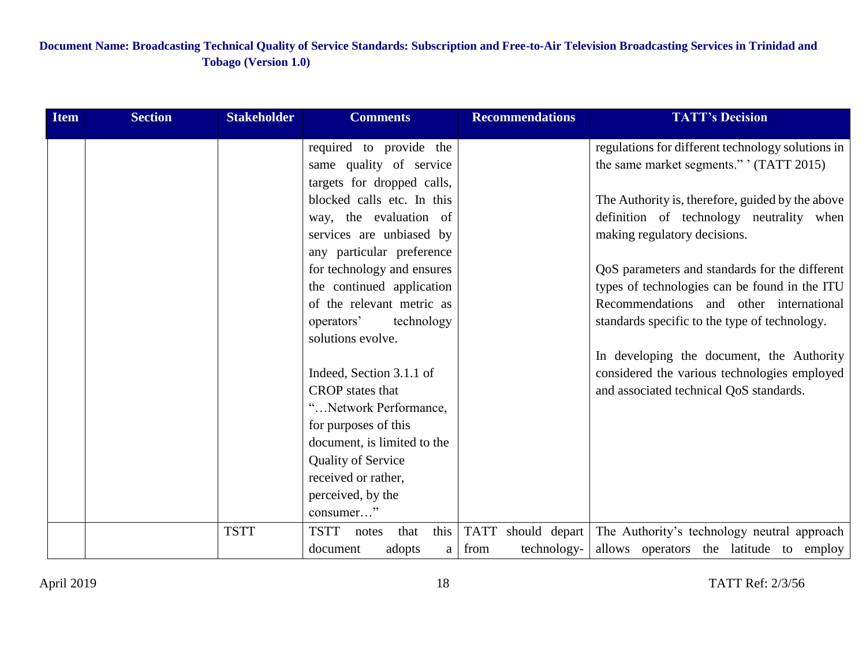| <b>Item</b> | <b>Section</b> | <b>Stakeholder</b> | <b>Comments</b>             |              |             | <b>Recommendations</b> | <b>TATT's Decision</b>                            |
|-------------|----------------|--------------------|-----------------------------|--------------|-------------|------------------------|---------------------------------------------------|
|             |                |                    | required to provide the     |              |             |                        | regulations for different technology solutions in |
|             |                |                    | same quality of service     |              |             |                        | the same market segments." (TATT 2015)            |
|             |                |                    | targets for dropped calls,  |              |             |                        |                                                   |
|             |                |                    | blocked calls etc. In this  |              |             |                        | The Authority is, therefore, guided by the above  |
|             |                |                    | way, the evaluation of      |              |             |                        | definition of technology neutrality when          |
|             |                |                    | services are unbiased by    |              |             |                        | making regulatory decisions.                      |
|             |                |                    | any particular preference   |              |             |                        |                                                   |
|             |                |                    | for technology and ensures  |              |             |                        | QoS parameters and standards for the different    |
|             |                |                    | the continued application   |              |             |                        | types of technologies can be found in the ITU     |
|             |                |                    | of the relevant metric as   |              |             |                        | Recommendations and other international           |
|             |                |                    | operators'                  | technology   |             |                        | standards specific to the type of technology.     |
|             |                |                    | solutions evolve.           |              |             |                        |                                                   |
|             |                |                    |                             |              |             |                        | In developing the document, the Authority         |
|             |                |                    | Indeed, Section 3.1.1 of    |              |             |                        | considered the various technologies employed      |
|             |                |                    | <b>CROP</b> states that     |              |             |                        | and associated technical QoS standards.           |
|             |                |                    | "Network Performance,       |              |             |                        |                                                   |
|             |                |                    | for purposes of this        |              |             |                        |                                                   |
|             |                |                    | document, is limited to the |              |             |                        |                                                   |
|             |                |                    | <b>Quality of Service</b>   |              |             |                        |                                                   |
|             |                |                    | received or rather,         |              |             |                        |                                                   |
|             |                |                    | perceived, by the           |              |             |                        |                                                   |
|             |                |                    | consumer"                   |              |             |                        |                                                   |
|             |                | <b>TSTT</b>        | <b>TSTT</b><br>notes        | this<br>that | <b>TATT</b> | should depart          | The Authority's technology neutral approach       |
|             |                |                    | adopts<br>document          | $\mathbf{a}$ | from        | technology-            | allows operators the latitude to employ           |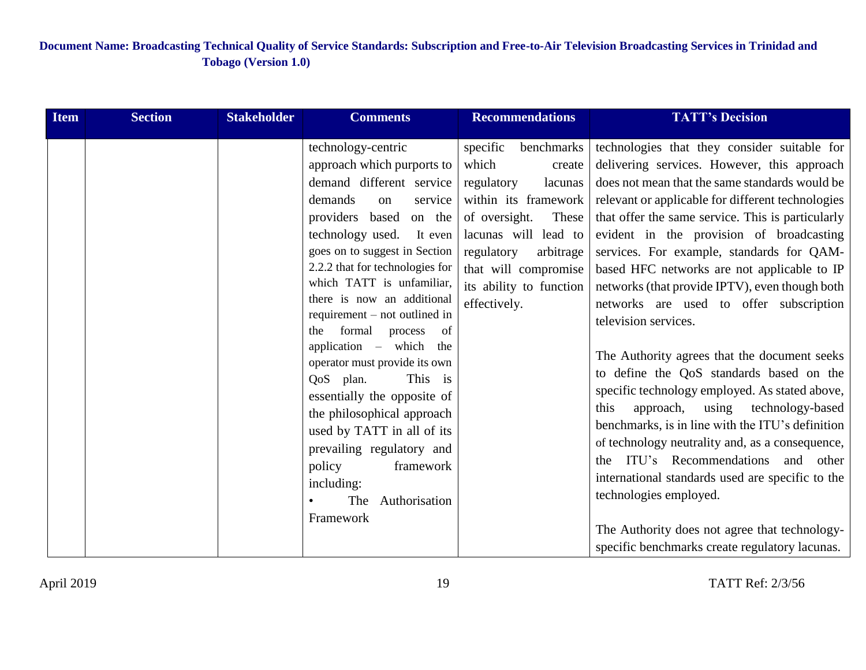| <b>Item</b> | <b>Section</b> | <b>Stakeholder</b> | <b>Comments</b>                                                                                                                                                                                                                                                                                                                                                                                                                                                                                                                                                                                                                                       | <b>Recommendations</b>                                                                                                                                                                                                                     | <b>TATT's Decision</b>                                                                                                                                                                                                                                                                                                                                                                                                                                                                                                                                                                                                                                                                                                                                                                                                                                                                                                                                                                                                                        |
|-------------|----------------|--------------------|-------------------------------------------------------------------------------------------------------------------------------------------------------------------------------------------------------------------------------------------------------------------------------------------------------------------------------------------------------------------------------------------------------------------------------------------------------------------------------------------------------------------------------------------------------------------------------------------------------------------------------------------------------|--------------------------------------------------------------------------------------------------------------------------------------------------------------------------------------------------------------------------------------------|-----------------------------------------------------------------------------------------------------------------------------------------------------------------------------------------------------------------------------------------------------------------------------------------------------------------------------------------------------------------------------------------------------------------------------------------------------------------------------------------------------------------------------------------------------------------------------------------------------------------------------------------------------------------------------------------------------------------------------------------------------------------------------------------------------------------------------------------------------------------------------------------------------------------------------------------------------------------------------------------------------------------------------------------------|
|             |                |                    | technology-centric<br>approach which purports to<br>demand different service<br>demands<br>service<br>on<br>providers based<br>on the<br>technology used. It even<br>goes on to suggest in Section<br>2.2.2 that for technologies for<br>which TATT is unfamiliar,<br>there is now an additional<br>requirement $-$ not outlined in<br>formal<br>the<br>process of<br>application – which the<br>operator must provide its own<br>This is<br>QoS plan.<br>essentially the opposite of<br>the philosophical approach<br>used by TATT in all of its<br>prevailing regulatory and<br>policy<br>framework<br>including:<br>The Authorisation<br>Framework | benchmarks<br>specific<br>which<br>create<br>regulatory<br>lacunas<br>within its framework<br>These<br>of oversight.<br>lacunas will lead to<br>regulatory<br>arbitrage<br>that will compromise<br>its ability to function<br>effectively. | technologies that they consider suitable for<br>delivering services. However, this approach<br>does not mean that the same standards would be<br>relevant or applicable for different technologies<br>that offer the same service. This is particularly<br>evident in the provision of broadcasting<br>services. For example, standards for QAM-<br>based HFC networks are not applicable to IP<br>networks (that provide IPTV), even though both<br>networks are used to offer subscription<br>television services.<br>The Authority agrees that the document seeks<br>to define the QoS standards based on the<br>specific technology employed. As stated above,<br>approach, using technology-based<br>this<br>benchmarks, is in line with the ITU's definition<br>of technology neutrality and, as a consequence,<br>the ITU's Recommendations and other<br>international standards used are specific to the<br>technologies employed.<br>The Authority does not agree that technology-<br>specific benchmarks create regulatory lacunas. |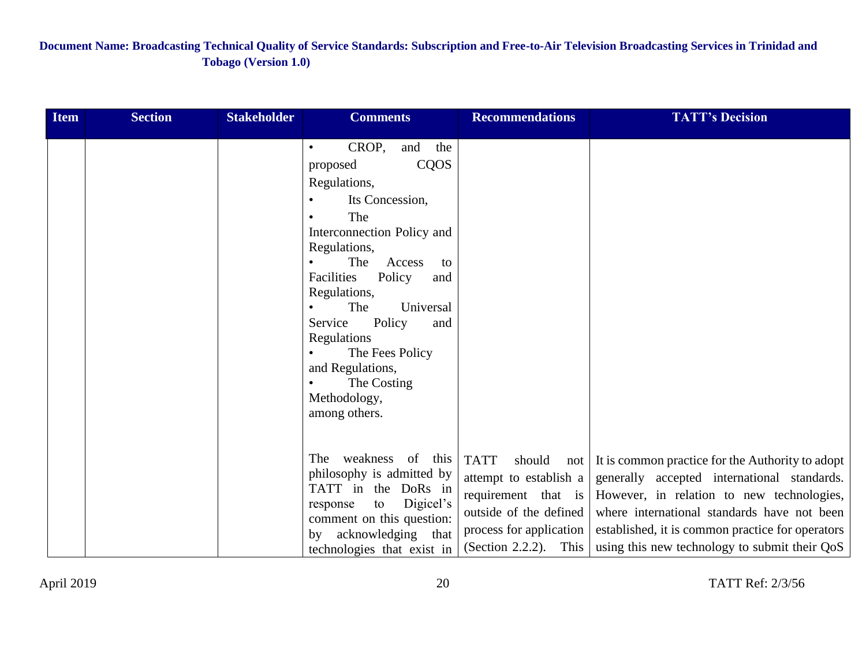| <b>Item</b> | <b>Section</b> | <b>Stakeholder</b> | <b>Comments</b>                                                                                                                                                                                                                                                                                                                                                          | <b>Recommendations</b>                                                                                                        | <b>TATT's Decision</b>                                                                                                                                                                                                                                                                                                   |
|-------------|----------------|--------------------|--------------------------------------------------------------------------------------------------------------------------------------------------------------------------------------------------------------------------------------------------------------------------------------------------------------------------------------------------------------------------|-------------------------------------------------------------------------------------------------------------------------------|--------------------------------------------------------------------------------------------------------------------------------------------------------------------------------------------------------------------------------------------------------------------------------------------------------------------------|
|             |                |                    | CROP,<br>the<br>and<br>$\bullet$<br>CQOS<br>proposed<br>Regulations,<br>Its Concession,<br>The<br>Interconnection Policy and<br>Regulations,<br>The<br>Access<br>to<br>Facilities<br>Policy<br>and<br>Regulations,<br>Universal<br>The<br>Service<br>Policy<br>and<br>Regulations<br>The Fees Policy<br>and Regulations,<br>The Costing<br>Methodology,<br>among others. |                                                                                                                               |                                                                                                                                                                                                                                                                                                                          |
|             |                |                    | The weakness of this<br>philosophy is admitted by<br>TATT in the DoRs in<br>Digicel's<br>to<br>response<br>comment on this question:<br>by acknowledging that<br>technologies that exist in                                                                                                                                                                              | <b>TATT</b><br>should<br>attempt to establish a<br>outside of the defined<br>process for application<br>(Section 2.2.2). This | not It is common practice for the Authority to adopt<br>generally accepted international standards.<br>requirement that is However, in relation to new technologies,<br>where international standards have not been<br>established, it is common practice for operators<br>using this new technology to submit their QoS |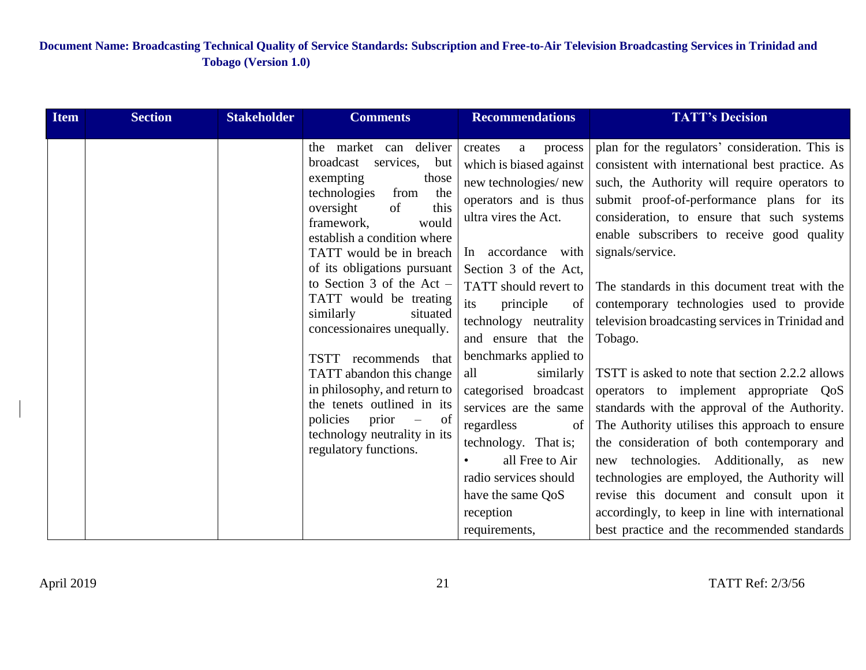| <b>Item</b> | <b>Section</b> | <b>Stakeholder</b> | <b>Comments</b>                                                                                                                                                                                                                                                                                                                                                                                                                                                                                                                                                                                              | <b>Recommendations</b>                                                                                                                                                                                                                                                                                                                                                                                                                                                                                                  | <b>TATT's Decision</b>                                                                                                                                                                                                                                                                                                                                                                                                                                                                                                                                                                                                                                                                                                                                                                                                                                                                                                                                               |
|-------------|----------------|--------------------|--------------------------------------------------------------------------------------------------------------------------------------------------------------------------------------------------------------------------------------------------------------------------------------------------------------------------------------------------------------------------------------------------------------------------------------------------------------------------------------------------------------------------------------------------------------------------------------------------------------|-------------------------------------------------------------------------------------------------------------------------------------------------------------------------------------------------------------------------------------------------------------------------------------------------------------------------------------------------------------------------------------------------------------------------------------------------------------------------------------------------------------------------|----------------------------------------------------------------------------------------------------------------------------------------------------------------------------------------------------------------------------------------------------------------------------------------------------------------------------------------------------------------------------------------------------------------------------------------------------------------------------------------------------------------------------------------------------------------------------------------------------------------------------------------------------------------------------------------------------------------------------------------------------------------------------------------------------------------------------------------------------------------------------------------------------------------------------------------------------------------------|
|             |                |                    | market can deliver<br>the<br>broadcast<br>services, but<br>exempting<br>those<br>technologies<br>the<br>from<br>this<br>oversight<br>of<br>framework,<br>would<br>establish a condition where<br>TATT would be in breach<br>of its obligations pursuant<br>to Section 3 of the Act $-$<br>TATT would be treating<br>similarly<br>situated<br>concessionaires unequally.<br>recommends that<br>TSTT<br>TATT abandon this change<br>in philosophy, and return to<br>the tenets outlined in its<br>prior<br>policies<br>of<br>$\overline{\phantom{m}}$<br>technology neutrality in its<br>regulatory functions. | process<br>creates<br>a<br>which is biased against<br>new technologies/new<br>operators and is thus<br>ultra vires the Act.<br>In accordance with<br>Section 3 of the Act.<br>TATT should revert to<br>its<br>principle<br>of<br>technology neutrality<br>and ensure that the<br>benchmarks applied to<br>all<br>similarly<br>categorised broadcast<br>services are the same<br>regardless<br>of<br>technology. That is;<br>all Free to Air<br>radio services should<br>have the same OoS<br>reception<br>requirements, | plan for the regulators' consideration. This is<br>consistent with international best practice. As<br>such, the Authority will require operators to<br>submit proof-of-performance plans for its<br>consideration, to ensure that such systems<br>enable subscribers to receive good quality<br>signals/service.<br>The standards in this document treat with the<br>contemporary technologies used to provide<br>television broadcasting services in Trinidad and<br>Tobago.<br>TSTT is asked to note that section 2.2.2 allows<br>operators to implement appropriate QoS<br>standards with the approval of the Authority.<br>The Authority utilises this approach to ensure<br>the consideration of both contemporary and<br>new technologies. Additionally, as new<br>technologies are employed, the Authority will<br>revise this document and consult upon it<br>accordingly, to keep in line with international<br>best practice and the recommended standards |